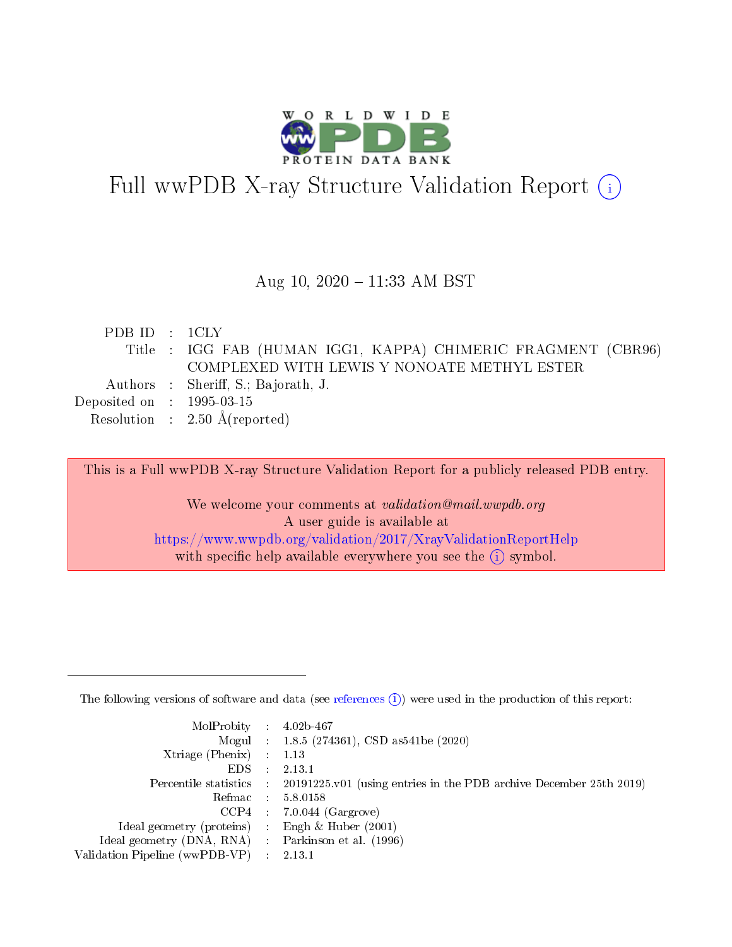

# Full wwPDB X-ray Structure Validation Report (i)

#### Aug 10, 2020 - 11:33 AM BST

| PDBID : 1CLY                |                                                               |
|-----------------------------|---------------------------------------------------------------|
|                             | Title : IGG FAB (HUMAN IGG1, KAPPA) CHIMERIC FRAGMENT (CBR96) |
|                             | COMPLEXED WITH LEWIS Y NONOATE METHYL ESTER                   |
|                             | Authors : Sheriff, S.; Bajorath, J.                           |
| Deposited on : $1995-03-15$ |                                                               |
|                             | Resolution : $2.50 \text{ Å}$ (reported)                      |
|                             |                                                               |

This is a Full wwPDB X-ray Structure Validation Report for a publicly released PDB entry.

We welcome your comments at validation@mail.wwpdb.org A user guide is available at <https://www.wwpdb.org/validation/2017/XrayValidationReportHelp> with specific help available everywhere you see the  $(i)$  symbol.

The following versions of software and data (see [references](https://www.wwpdb.org/validation/2017/XrayValidationReportHelp#references)  $(1)$ ) were used in the production of this report:

| $MolProbability$ 4.02b-467                          |                             |                                                                                            |
|-----------------------------------------------------|-----------------------------|--------------------------------------------------------------------------------------------|
|                                                     |                             | Mogul : $1.8.5$ (274361), CSD as 541be (2020)                                              |
| Xtriage (Phenix)                                    |                             | 1.13                                                                                       |
| EDS.                                                | $\mathcal{L}$               | 2.13.1                                                                                     |
|                                                     |                             | Percentile statistics : 20191225.v01 (using entries in the PDB archive December 25th 2019) |
|                                                     |                             | Refmac $5.8.0158$                                                                          |
| CCP4                                                |                             | $7.0.044$ (Gargrove)                                                                       |
| Ideal geometry (proteins)                           | $\mathcal{L}^{\mathcal{L}}$ | Engh $\&$ Huber (2001)                                                                     |
| Ideal geometry (DNA, RNA) : Parkinson et al. (1996) |                             |                                                                                            |
| Validation Pipeline (wwPDB-VP)                      | $\sim 10^{11}$ m $^{-1}$    | 2.13.1                                                                                     |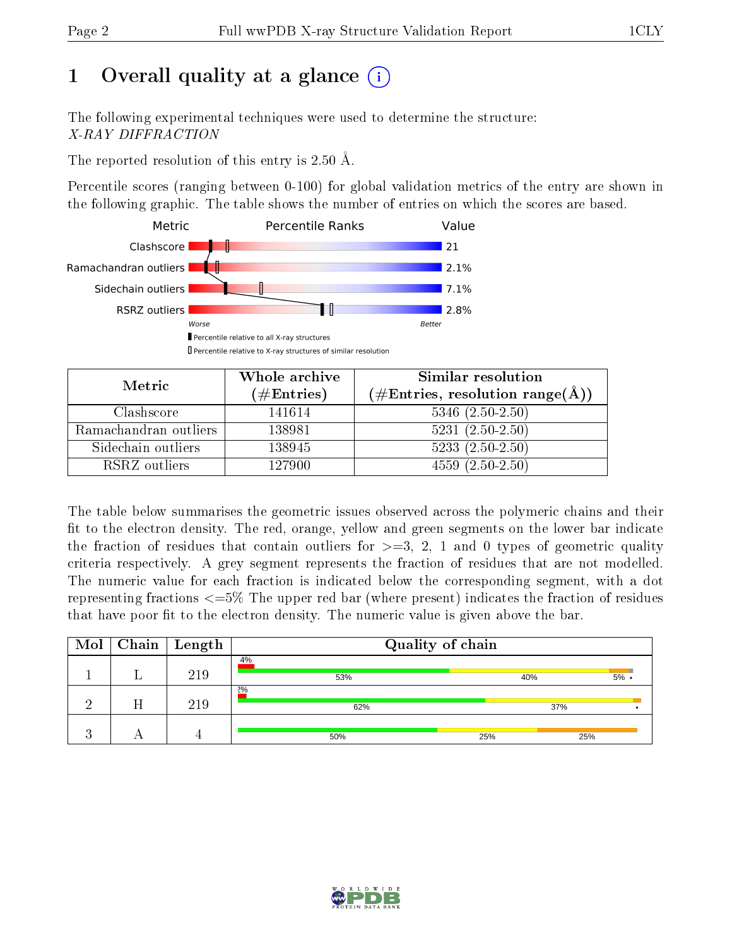# 1 [O](https://www.wwpdb.org/validation/2017/XrayValidationReportHelp#overall_quality)verall quality at a glance  $(i)$

The following experimental techniques were used to determine the structure: X-RAY DIFFRACTION

The reported resolution of this entry is 2.50 Å.

Percentile scores (ranging between 0-100) for global validation metrics of the entry are shown in the following graphic. The table shows the number of entries on which the scores are based.



| Metric                | Whole archive<br>$(\#Entries)$ | Similar resolution<br>$(\#\text{Entries}, \text{resolution range}(\AA))$ |
|-----------------------|--------------------------------|--------------------------------------------------------------------------|
| Clashscore            | 141614                         | $5346$ $(2.50-2.50)$                                                     |
| Ramachandran outliers | 138981                         | $5231 (2.50 - 2.50)$                                                     |
| Sidechain outliers    | 138945                         | $5233(2.50-2.50)$                                                        |
| RSRZ outliers         | 127900                         | $4559(2.50-2.50)$                                                        |

The table below summarises the geometric issues observed across the polymeric chains and their fit to the electron density. The red, orange, yellow and green segments on the lower bar indicate the fraction of residues that contain outliers for  $\geq=3$ , 2, 1 and 0 types of geometric quality criteria respectively. A grey segment represents the fraction of residues that are not modelled. The numeric value for each fraction is indicated below the corresponding segment, with a dot representing fractions  $\epsilon = 5\%$  The upper red bar (where present) indicates the fraction of residues that have poor fit to the electron density. The numeric value is given above the bar.

| Mol      |   | $\sqrt{\phantom{a}}$ Chain $\sqrt{\phantom{a}}$ Length | Quality of chain |     |       |
|----------|---|--------------------------------------------------------|------------------|-----|-------|
|          |   | 219                                                    | 4%<br>53%        | 40% | $5\%$ |
| $\Omega$ | Η | 219                                                    | $2\%$<br>62%     | 37% |       |
|          |   |                                                        | 50%              | 25% | 25%   |

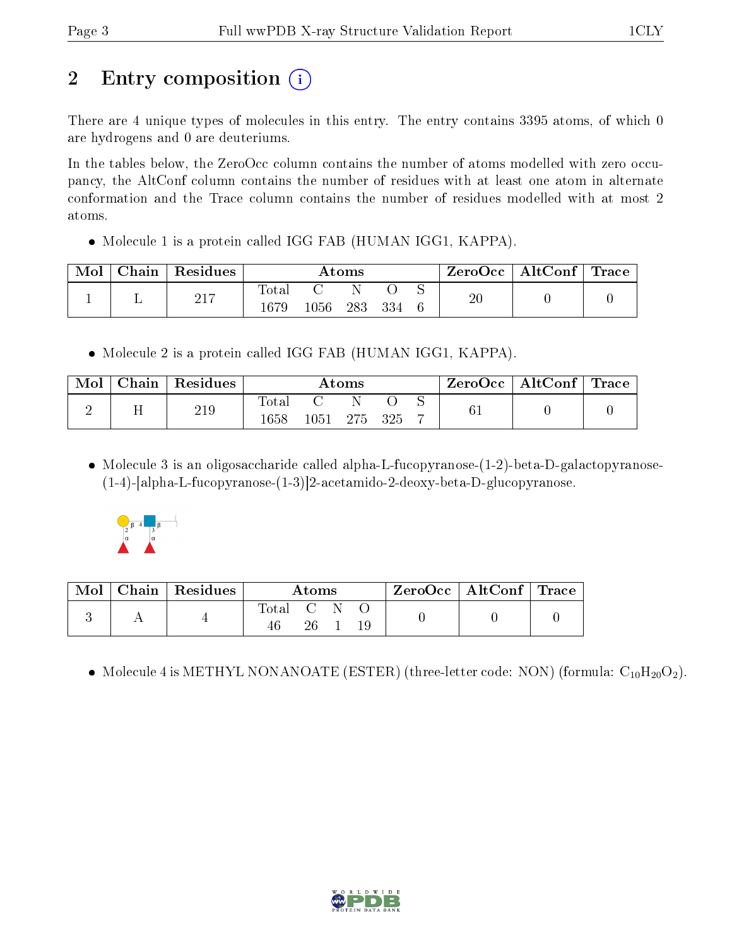# 2 Entry composition  $\left( \cdot \right)$

There are 4 unique types of molecules in this entry. The entry contains 3395 atoms, of which 0 are hydrogens and 0 are deuteriums.

In the tables below, the ZeroOcc column contains the number of atoms modelled with zero occupancy, the AltConf column contains the number of residues with at least one atom in alternate conformation and the Trace column contains the number of residues modelled with at most 2 atoms.

• Molecule 1 is a protein called IGG FAB (HUMAN IGG1, KAPPA).

| Mol | Chain | $\mid$ Residues | Atoms         |      |     |     | $ZeroOcc \mid AltConf \mid Trace \mid$ |        |  |  |
|-----|-------|-----------------|---------------|------|-----|-----|----------------------------------------|--------|--|--|
|     |       | 217             | Total<br>1679 | 1056 | 283 | 334 |                                        | $20\,$ |  |  |

• Molecule 2 is a protein called IGG FAB (HUMAN IGG1, KAPPA).

| Mol | ⊤ Chain | $\vert$ Residues | Atoms                  |       |     |      | $\text{ZeroOcc} \mid \text{AltConf} \mid \text{Trace}$ |  |  |
|-----|---------|------------------|------------------------|-------|-----|------|--------------------------------------------------------|--|--|
|     |         | 219              | $_{\rm Total}$<br>1658 | 1051. | 275 | -325 |                                                        |  |  |

• Molecule 3 is an oligosaccharide called alpha-L-fucopyranose-(1-2)-beta-D-galactopyranose-(1-4)-[alpha-L-fucopyranose-(1-3)]2-acetamido-2-deoxy-beta-D-glucopyranose.



| $\bf{Mol}$ | $\mid$ Chain $\mid$ Residues $\mid$ | Atoms                                   |  |  |  | $ZeroOcc \   \$ AltConf $\  $ | $\mid$ Trace |
|------------|-------------------------------------|-----------------------------------------|--|--|--|-------------------------------|--------------|
|            |                                     | $\mathrm{Total} \quad \mathrm{C}$<br>46 |  |  |  |                               |              |

• Molecule 4 is METHYL NONANOATE (ESTER) (three-letter code: NON) (formula:  $C_{10}H_{20}O_2$ ).

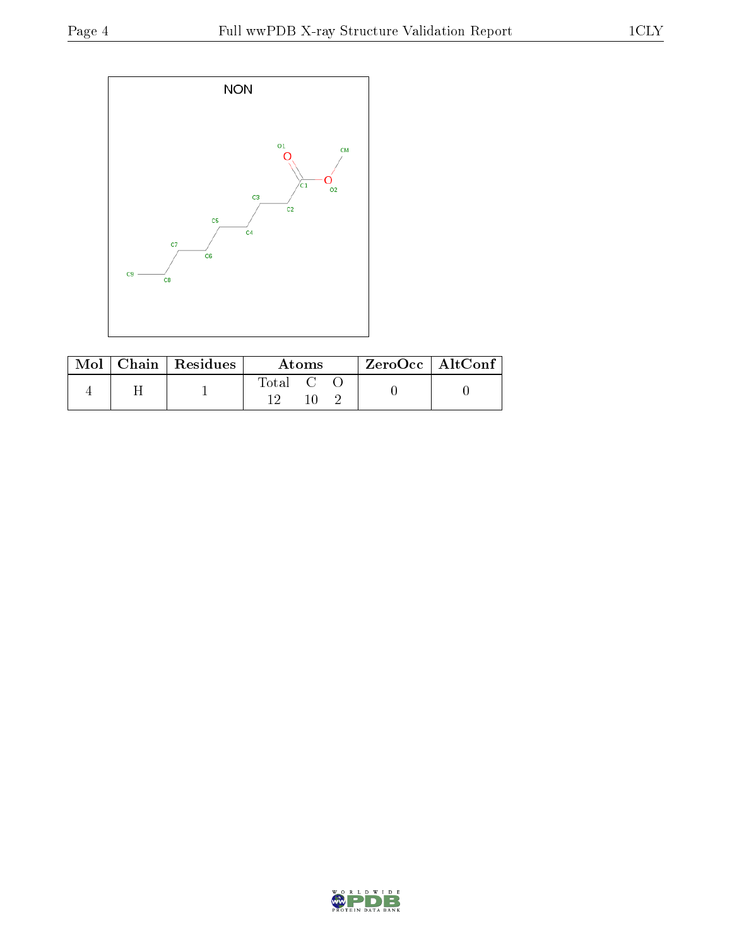

|  | $Mol$   Chain   Residues | <b>Atoms</b>                                             |  | $\ $ ZeroOcc $\ $ Alt $\overline{\text{Conf}}$ |  |  |
|--|--------------------------|----------------------------------------------------------|--|------------------------------------------------|--|--|
|  |                          | $\begin{array}{ccc} \text{Total} & \text{C} \end{array}$ |  |                                                |  |  |

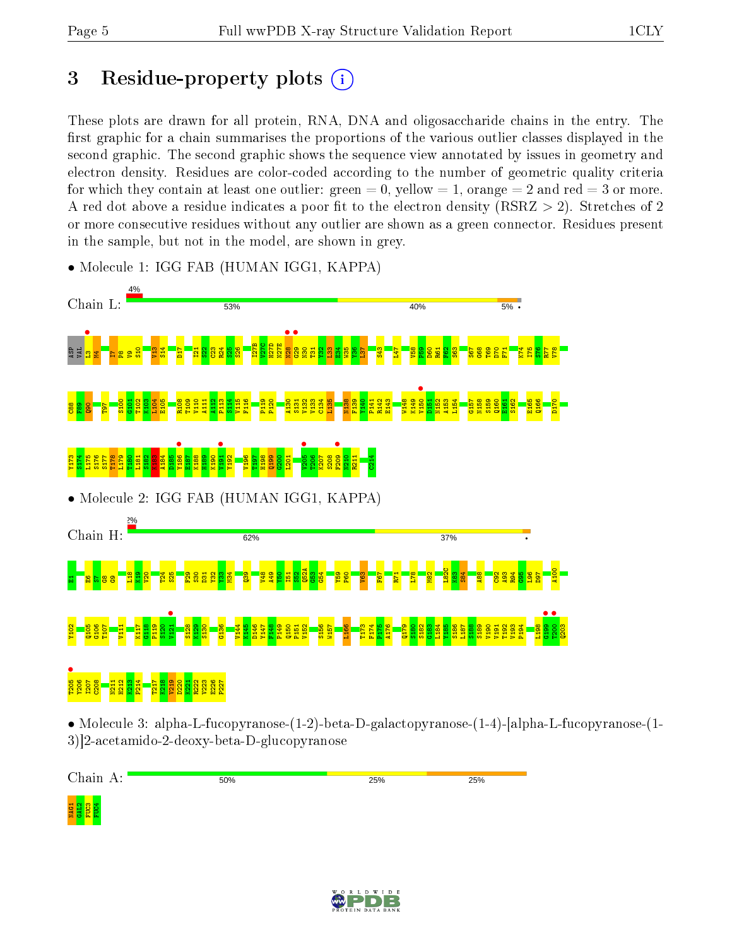# 3 Residue-property plots  $(i)$

These plots are drawn for all protein, RNA, DNA and oligosaccharide chains in the entry. The first graphic for a chain summarises the proportions of the various outlier classes displayed in the second graphic. The second graphic shows the sequence view annotated by issues in geometry and electron density. Residues are color-coded according to the number of geometric quality criteria for which they contain at least one outlier: green  $= 0$ , yellow  $= 1$ , orange  $= 2$  and red  $= 3$  or more. A red dot above a residue indicates a poor fit to the electron density ( $\text{RSRZ} > 2$ ). Stretches of 2 or more consecutive residues without any outlier are shown as a green connector. Residues present in the sample, but not in the model, are shown in grey.



• Molecule 1: IGG FAB (HUMAN IGG1, KAPPA)

• Molecule 3: alpha-L-fucopyranose-(1-2)-beta-D-galactopyranose-(1-4)-[alpha-L-fucopyranose-(1- 3)]2-acetamido-2-deoxy-beta-D-glucopyranose

Chain A: 50% 25% 25%  $\frac{1}{2}$   $\frac{1}{2}$   $\frac{1}{2}$   $\frac{1}{2}$   $\frac{1}{2}$   $\frac{1}{2}$   $\frac{1}{2}$ 

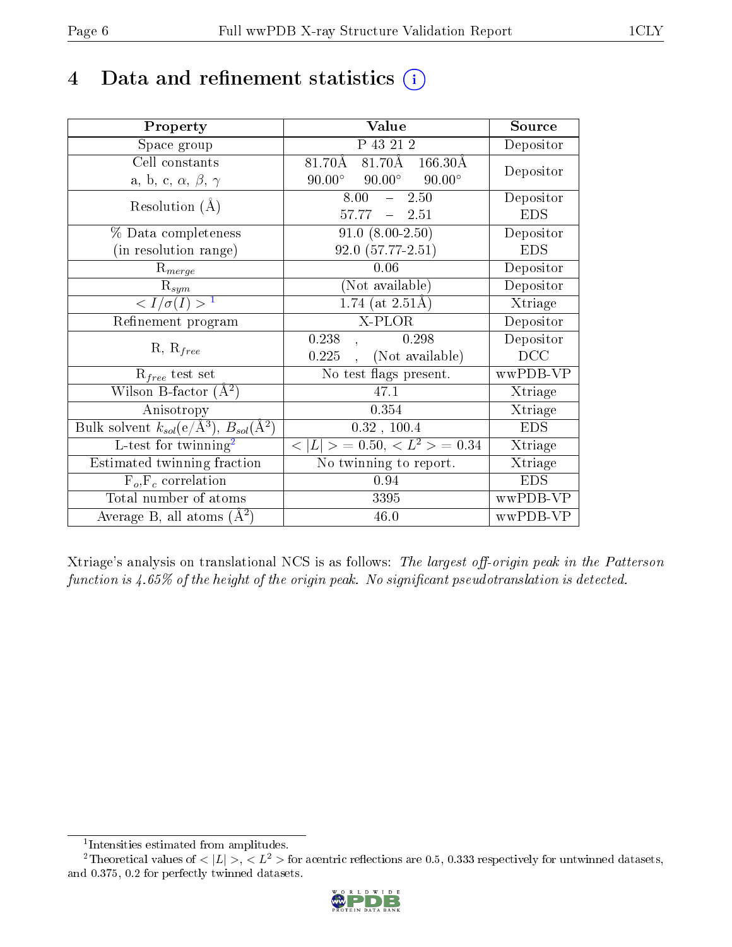# 4 Data and refinement statistics  $(i)$

| Property                                                              | Value                                           | Source     |
|-----------------------------------------------------------------------|-------------------------------------------------|------------|
| Space group                                                           | P 43 21 2                                       | Depositor  |
| Cell constants                                                        | $81.70\text{\AA}$ 166.30Å<br>81.70Å             | Depositor  |
| a, b, c, $\alpha$ , $\beta$ , $\gamma$                                | $90.00^\circ$<br>$90.00^\circ$<br>$90.00^\circ$ |            |
| Resolution $(A)$                                                      | $\overline{2.50}$<br>8.00<br>$\frac{1}{2}$      | Depositor  |
|                                                                       | 57.77<br>$-2.51$                                | <b>EDS</b> |
| % Data completeness                                                   | $\overline{91.0}$ $(8.00-2.50)$                 | Depositor  |
| (in resolution range)                                                 | $92.0(57.77-2.51)$                              | <b>EDS</b> |
| $R_{merge}$                                                           | 0.06                                            | Depositor  |
| $\mathbf{R}_{sym}$                                                    | (Not available)                                 | Depositor  |
| $\langle I/\sigma(I) \rangle^{-1}$                                    | 1.74 (at $2.51\text{\AA}$ )                     | Xtriage    |
| Refinement program                                                    | X-PLOR                                          | Depositor  |
| $R, R_{free}$                                                         | 0.238<br>0.298                                  | Depositor  |
|                                                                       | (Not available)<br>0.225                        | DCC        |
| $R_{free}$ test set                                                   | No test flags present.                          | wwPDB-VP   |
| Wilson B-factor $(A^2)$                                               | 47.1                                            | Xtriage    |
| Anisotropy                                                            | 0.354                                           | Xtriage    |
| Bulk solvent $k_{sol}(\text{e}/\text{\AA}^3),\,B_{sol}(\text{\AA}^2)$ | 0.32, 100.4                                     | <b>EDS</b> |
| $L$ -test for twinning <sup>2</sup>                                   | $< L >$ = 0.50, $< L2 >$ = 0.34                 | Xtriage    |
| Estimated twinning fraction                                           | No twinning to report.                          | Xtriage    |
| $F_o, F_c$ correlation                                                | 0.94                                            | <b>EDS</b> |
| Total number of atoms                                                 | 3395                                            | wwPDB-VP   |
| Average B, all atoms $(A^2)$                                          | 46.0                                            | wwPDB-VP   |

Xtriage's analysis on translational NCS is as follows: The largest off-origin peak in the Patterson function is  $4.65\%$  of the height of the origin peak. No significant pseudotranslation is detected.

<sup>&</sup>lt;sup>2</sup>Theoretical values of  $\langle |L| \rangle$ ,  $\langle L^2 \rangle$  for acentric reflections are 0.5, 0.333 respectively for untwinned datasets, and 0.375, 0.2 for perfectly twinned datasets.



<span id="page-5-1"></span><span id="page-5-0"></span><sup>1</sup> Intensities estimated from amplitudes.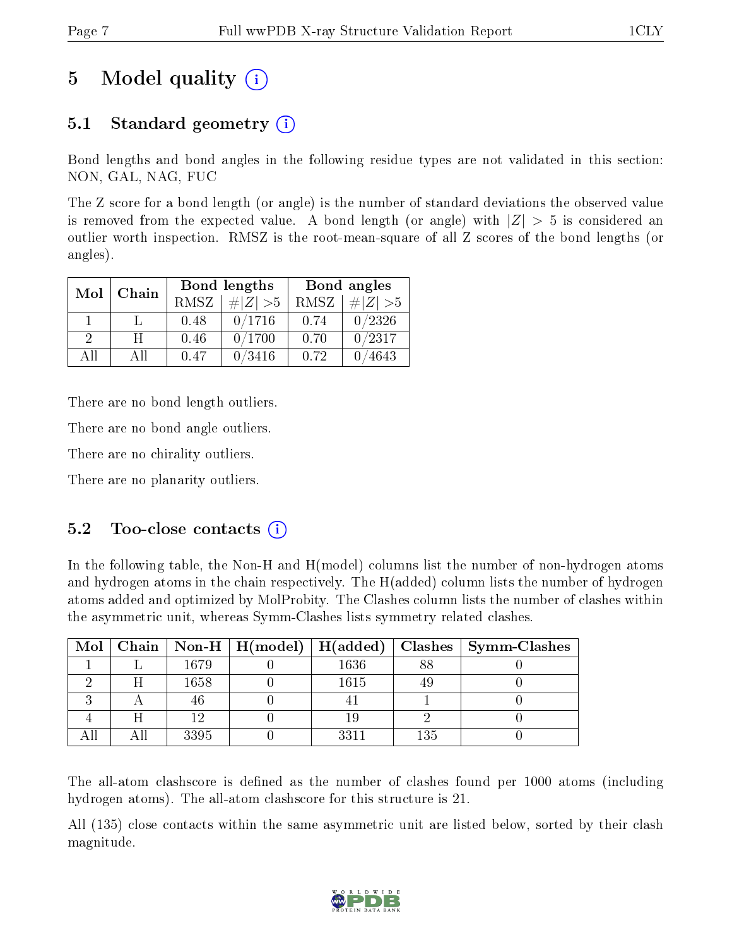# 5 Model quality  $(i)$

### 5.1 Standard geometry (i)

Bond lengths and bond angles in the following residue types are not validated in this section: NON, GAL, NAG, FUC

The Z score for a bond length (or angle) is the number of standard deviations the observed value is removed from the expected value. A bond length (or angle) with  $|Z| > 5$  is considered an outlier worth inspection. RMSZ is the root-mean-square of all Z scores of the bond lengths (or angles).

| Mol           | Chain |      | Bond lengths | Bond angles |                              |  |
|---------------|-------|------|--------------|-------------|------------------------------|--|
|               |       | RMSZ | $\# Z  > 5$  | RMSZ        | $\vert \# \vert Z \vert > 5$ |  |
|               |       | 0.48 | 0/1716       | 0.74        | 0/2326                       |  |
| $\mathcal{D}$ | H     | 0.46 | 0/1700       | 0.70        | 0/2317                       |  |
| ΑH            | АH    | 0.47 | 0/3416       | 0.72        | 4643                         |  |

There are no bond length outliers.

There are no bond angle outliers.

There are no chirality outliers.

There are no planarity outliers.

### $5.2$  Too-close contacts  $(i)$

In the following table, the Non-H and H(model) columns list the number of non-hydrogen atoms and hydrogen atoms in the chain respectively. The H(added) column lists the number of hydrogen atoms added and optimized by MolProbity. The Clashes column lists the number of clashes within the asymmetric unit, whereas Symm-Clashes lists symmetry related clashes.

| Mol |   |      | Chain   Non-H   $H (model)$   $H (added)$ |      |     | $\vert$ Clashes $\vert$ Symm-Clashes |
|-----|---|------|-------------------------------------------|------|-----|--------------------------------------|
|     |   | 1679 |                                           | 1636 | 88  |                                      |
|     | H | 1658 |                                           | 1615 |     |                                      |
|     |   |      |                                           |      |     |                                      |
|     |   | 1 ດ  |                                           |      |     |                                      |
|     |   | 3395 |                                           | 221  | 135 |                                      |

The all-atom clashscore is defined as the number of clashes found per 1000 atoms (including hydrogen atoms). The all-atom clashscore for this structure is 21.

All (135) close contacts within the same asymmetric unit are listed below, sorted by their clash magnitude.

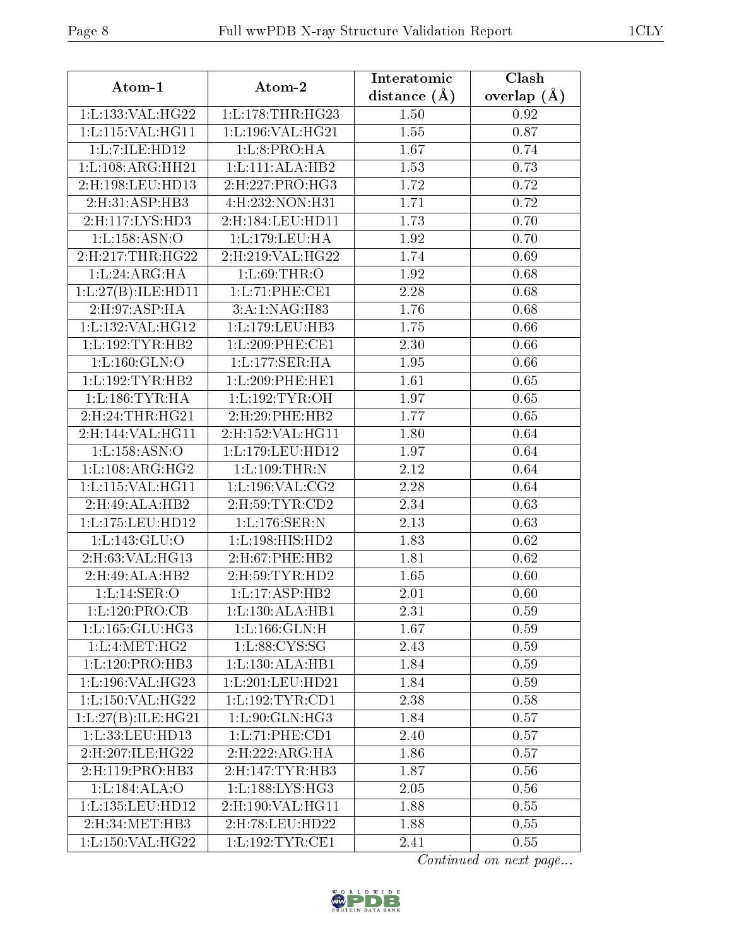| Atom-1              | Atom-2               | Interatomic      | Clash           |
|---------------------|----------------------|------------------|-----------------|
|                     |                      | distance $(\AA)$ | overlap $(\AA)$ |
| 1:L:133:VAL:H G22   | 1: L: 178: THR: HG23 | 1.50             | 0.92            |
| 1:L:115:VAL:HG11    | 1:L:196:VAL:HG21     | 1.55             | 0.87            |
| 1:L:7:ILE:HD12      | 1: L:8: PRO:HA       | 1.67             | 0.74            |
| 1:L:108:ARG:HH21    | 1:L:111:ALA:HB2      | 1.53             | 0.73            |
| 2:H:198:LEU:HD13    | 2:H:227:PRO:HG3      | 1.72             | 0.72            |
| 2:H:31:ASP:HB3      | 4:H:232:NON:H31      | 1.71             | 0.72            |
| 2:H:117:LYS:HD3     | 2:H:184:LEU:HD11     | 1.73             | 0.70            |
| 1:1:158:ASN:O       | 1:L:179:LEU:HA       | 1.92             | 0.70            |
| 2: H:217: THR: HG22 | 2:H:219:VAL:HG22     | 1.74             | 0.69            |
| 1: L: 24: ARG: HA   | 1: L:69:THR:O        | 1.92             | 0.68            |
| 1:L:27(B):ILE:HD11  | 1: L: 71: PHE: CE1   | 2.28             | 0.68            |
| 2: H: 97: ASP: HA   | 3:A:1:NAG:H83        | 1.76             | 0.68            |
| 1:L:132:VAL:HG12    | 1: L: 179: LEU: HB3  | 1.75             | 0.66            |
| 1:L:192:TYR:HB2     | 1: L:209: PHE:CE1    | 2.30             | 0.66            |
| 1:L:160:GLN:O       | 1: L: 177: SER:HA    | 1.95             | 0.66            |
| 1:L:192:TYR:HB2     | 1:L:209:PHE:HE1      | 1.61             | 0.65            |
| 1:L:186:TYR:HA      | 1:L:192:TYR:OH       | 1.97             | 0.65            |
| 2:H:24:THR:HG21     | 2:H:29:PHE:HB2       | 1.77             | 0.65            |
| 2:H:144:VAL:HG11    | 2:H:152:VAL:HG11     | 1.80             | 0.64            |
| 1: L: 158: ASN: O   | 1:L:179:LEU:HD12     | 1.97             | 0.64            |
| 1: L: 108: ARG: HG2 | 1:L:109:THR:N        | 2.12             | 0.64            |
| 1:L:115:VAL:HG11    | 1: L: 196: VAL: CG2  | 2.28             | 0.64            |
| 2:H:49:ALA:HB2      | 2:H:59:TYR:CD2       | 2.34             | 0.63            |
| 1:L:175:LEU:HD12    | 1:L:176:SER:N        | 2.13             | 0.63            |
| 1:L:143:GLU:O       | 1:L:198:HIS:HD2      | 1.83             | 0.62            |
| 2:H:63:VAL:HG13     | 2: H:67: PHE:HB2     | 1.81             | 0.62            |
| 2:H:49:ALA:HB2      | 2:H:59:TYR:HD2       | 1.65             | 0.60            |
| 1:L:14:SER:O        | 1:L:17:ASP:HB2       | 2.01             | 0.60            |
| 1: L: 120: PRO:CB   | 1: L: 130: ALA: HB1  | 2.31             | 0.59            |
| 1:L:165:GLU:HG3     | 1:1:166:GLN:H        | 1.67             | 0.59            |
| 1: L: 4: MET: HG2   | 1: L:88: CYS:SG      | 2.43             | 0.59            |
| 1:L:120:PRO:HB3     | 1:L:130:ALA:HB1      | 1.84             | 0.59            |
| 1:L:196:VAL:HG23    | 1:L:201:LEU:HD21     | 1.84             | 0.59            |
| 1: L: 150: VAL:HG22 | 1:L:192:TYR:CD1      | 2.38             | $0.58\,$        |
| 1:L:27(B):ILE:HG21  | 1:L:90:GLN:HG3       | 1.84             | 0.57            |
| 1:L:33:LEU:HD13     | 1: L: 71: PHE: CD1   | 2.40             | 0.57            |
| 2:H:207:ILE:HG22    | 2:H:222:ARG:HA       | 1.86             | 0.57            |
| 2:H:119:PRO:HB3     | 2:H:147:TYR:HB3      | 1.87             | 0.56            |
| 1: L: 184: ALA: O   | 1: L: 188: LYS: HG3  | 2.05             | 0.56            |
| 1:L:135:LEU:HD12    | 2:H:190:VAL:HG11     | 1.88             | 0.55            |
| 2:H:34:MET:HB3      | 2:H:78:LEU:HD22      | 1.88             | 0.55            |
| 1:L:150:VAL:HG22    | 1:L:192:TYR:CE1      | 2.41             | 0.55            |

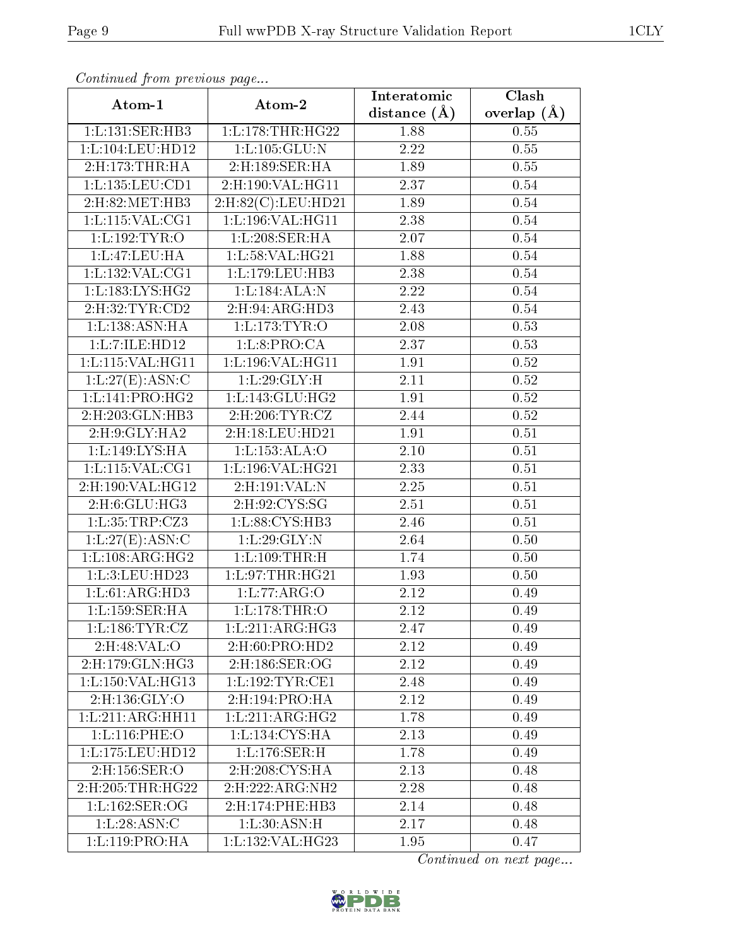| $\frac{1}{2}$<br>Atom-1           | Atom-2                       | Interatomic       | Clash           |
|-----------------------------------|------------------------------|-------------------|-----------------|
|                                   |                              | distance $(\AA)$  | overlap $(\AA)$ |
| 1:L:131:SER:HB3                   | 1:L:178:THR:HG22             | 1.88              | 0.55            |
| 1:L:104:LEU:HD12                  | 1: L: 105: GLU: N            | 2.22              | 0.55            |
| 2:H:173:THR:HA                    | 2:H:189:SER:HA               | 1.89              | 0.55            |
| 1:L:135:LEU:CD1                   | $2:$ H:190:VAL:HG11          | 2.37              | 0.54            |
| 2:H:82:MET:HB3                    | 2: H:82(C): LEU: HD21        | 1.89              | 0.54            |
| 1: L: 115: VAL: CG1               | 1:L:196:VAL:HG11             | 2.38              | $0.54\,$        |
| 1:L:192:TYR:O                     | 1:L:208:SER:HA               | 2.07              | 0.54            |
| 1: L:47: LEU: HA                  | 1:L:58:VAL:HG21              | 1.88              | $0.54\,$        |
| 1: L: 132: VAL: CG1               | 1:L:179:LEU:HB3              | 2.38              | 0.54            |
| 1: L: 183: LYS: HG2               | 1:L:184:ALA:N                | 2.22              | 0.54            |
| 2:H:32:TYR:CD2                    | 2:H:94:ARG:HD3               | 2.43              | 0.54            |
| 1: L: 138: ASN: HA                | 1: L: 173: TYR: O            | $2.08\,$          | 0.53            |
| 1:L:7:ILE:HD12                    | 1: L:8: PRO:CA               | 2.37              | 0.53            |
| 1: L: 115: VAL: HG11              | 1:L:196:VAL:HG11             | 1.91              | 0.52            |
| 1:L:27(E):ASN:C                   | 1:L:29:GLY:H                 | 2.11              | 0.52            |
| $1: L: 141: PRO: \overline{HG2}$  | 1: L: 143: GLU: HG2          | 1.91              | $0.52\,$        |
| 2: H: 203: GLN: HB3               | 2: H:206: TYR: CZ            | 2.44              | 0.52            |
| 2: H: 9: GLY: HA2                 | 2:H:18:LEU:HD21              | 1.91              | $0.51\,$        |
| 1:L:149:LYS:HA                    | 1:Li:153:ALA:O               | 2.10              | $0.51\,$        |
| 1:L:115:VAL:CG1                   | 1:L:196:VAL:HG21             | 2.33              | 0.51            |
| 2:H:190:VAL:HG12                  | 2:H:191:VAL:N                | $\overline{2.25}$ | 0.51            |
| 2:H:6:GLU:HG3                     | 2:H:92:CYS:SG                | 2.51              | 0.51            |
| 1:L:35:TRP:CZ3                    | 1:L:88:CYS:HB3               | 2.46              | 0.51            |
| 1: L:27(E): ASN:C                 | 1:L:29:GLY:N                 | 2.64              | 0.50            |
| 1: L: 108: ARG: HG2               | 1: L: 109: THR:H             | 1.74              | 0.50            |
| 1:L:3:LEU:HD23                    | 1:L:97:THR:HG21              | 1.93              | 0.50            |
| 1: L:61: ARG:HD3                  | 1:L:77:ARG:O                 | 2.12              | 0.49            |
| 1:L:159:SER:HA                    | 1: L: 178: THR:O             | 2.12              | 0.49            |
| 1: L: 186: TYR: CZ                | 1:L:211:ARG:HG3              | 2.47              | 0.49            |
| 2:H:48:VAL:O                      | $2:$ H $:60:$ P $RO:$ H $D2$ | 2.12              | 0.49            |
| 2:H:179:GLN:HG3                   | $2:$ H $:186:$ SER $:$ OG    | 2.12              | 0.49            |
| 1:L:150:VAL:HG13                  | 1: L: 192: TYR: CE1          | 2.48              | 0.49            |
| $2:$ H:136:GLY:O                  | 2:H:194:PRO:HA               | 2.12              | 0.49            |
| 1:L:211:ARG:HH11                  | 1:L:211:ARG:HG2              | 1.78              | 0.49            |
| 1:L:116:PHE:O                     | 1:L:134:CYS:HA               | 2.13              | 0.49            |
| 1:L:175:LEU:HD12                  | 1: L: 176: SER:H             | 1.78              | 0.49            |
| $2:H:156:\overline{\text{SER:O}}$ | 2: H: 208: CYS: HA           | 2.13              | 0.48            |
| 2:H:205:THR:HG22                  | 2: H: 222: ARG: NH2          | 2.28              | 0.48            |
| 1:L:162:SER:OG                    | 2:H:174:PHE:HB3              | 2.14              | 0.48            |
| 1:L:28:ASN:C                      | 1: L:30: ASN:H               | 2.17              | 0.48            |
| 1:L:119:PRO:HA                    | 1:L:132:VAL:HG23             | 1.95              | 0.47            |

Continued from previous page...

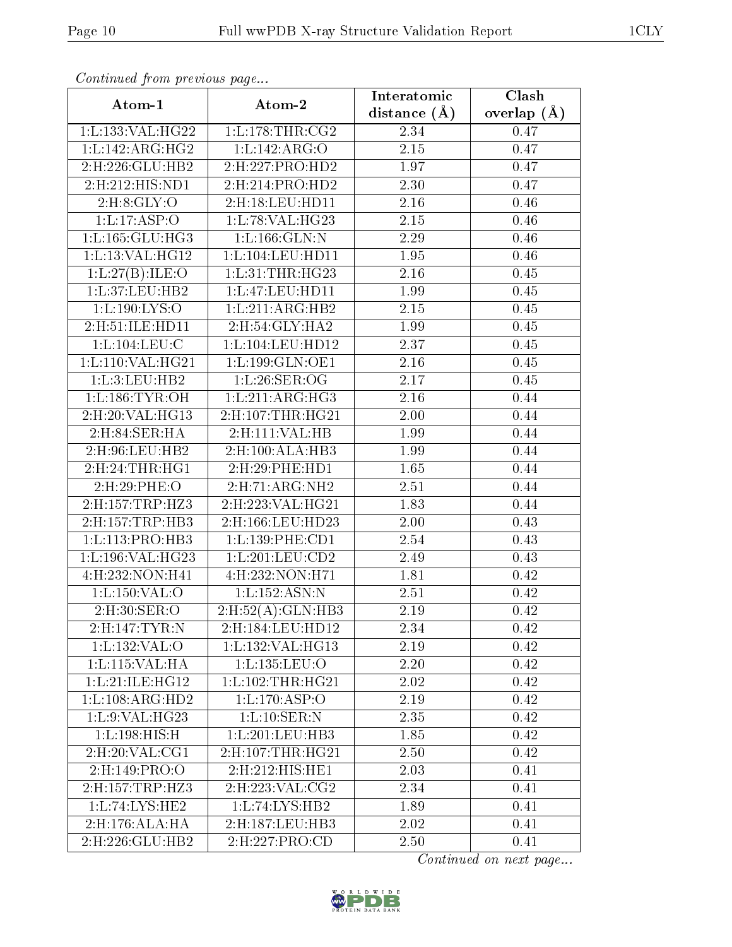| . <i>. .</i><br>Atom-1           | $\cdots$ $\cdots$ $\cdots$<br>Atom-2 | Interatomic       | Clash         |
|----------------------------------|--------------------------------------|-------------------|---------------|
|                                  |                                      | distance $(\AA)$  | overlap $(A)$ |
| 1: L: 133: VAL: HG22             | 1: L: 178: THR: CG2                  | 2.34              | 0.47          |
| 1: L: 142: ARG: HG2              | 1:Li142:ARG. O                       | $\overline{2.15}$ | 0.47          |
| 2:H:226:GLU:HB2                  | 2:H:227:PRO:HD2                      | 1.97              | 0.47          |
| $2: H: 212: HIS: \overline{ND1}$ | 2: H:214: PRO:HD2                    | 2.30              | 0.47          |
| 2: H:8: GLY:O                    | 2:H:18:LEU:HD11                      | 2.16              | 0.46          |
| 1: L: 17: ASP: O                 | 1:L:78:VAL:HG23                      | 2.15              | 0.46          |
| 1: L: 165: GLU: HG3              | 1: L: 166: GLN:N                     | 2.29              | 0.46          |
| 1: L: 13: VAL: HG12              | 1: L: 104: LEU: HD11                 | 1.95              | 0.46          |
| 1: L:27(B):ILE:O                 | 1: L:31:THR:HG23                     | 2.16              | 0.45          |
| 1:L:37:LEU:HB2                   | 1:L:47:LEU:HD11                      | 1.99              | 0.45          |
| 1: L: 190: LYS:O                 | 1:L:211:ARG:HB2                      | $2.15\,$          | 0.45          |
| 2:H:51:ILE:HD11                  | 2:H:54:GLY:HA2                       | 1.99              | 0.45          |
| 1: L: 104: LEU: C                | 1:L:104:LEU:HD12                     | 2.37              | 0.45          |
| 1: L: 110: VAL: HG21             | 1:L:199:GLN:OE1                      | 2.16              | 0.45          |
| 1:L:3:LEU:HB2                    | 1:L:26:SER:OG                        | 2.17              | 0.45          |
| 1: L: 186: TYR: OH               | 1: L:211: ARG:HG3                    | 2.16              | 0.44          |
| 2:H:20:VAL:HG13                  | 2: H: 107: THR: HG21                 | 2.00              | 0.44          |
| 2:H:84:SER:HA                    | 2:H:111:VAL:HB                       | 1.99              | 0.44          |
| 2:H:96:LEU:HB2                   | 2:H:100:ALA:HB3                      | 1.99              | 0.44          |
| 2:H:24:THR:HG1                   | $2:$ H:29:PHE:HD1                    | 1.65              | 0.44          |
| 2:H:29:PHE:O                     | 2: H:71: ARG:NH2                     | 2.51              | 0.44          |
| 2:H:157:TRP:HZ3                  | 2:H:223:VAL:HG21                     | 1.83              | 0.44          |
| 2:H:157:TRP:HB3                  | 2:H:166:LEU:HD23                     | 2.00              | 0.43          |
| 1:L:113:PRO:HB3                  | 1: L: 139: PHE: CD1                  | 2.54              | 0.43          |
| 1:L:196:VAL:HG23                 | 1:L:201:LEU:CD2                      | 2.49              | 0.43          |
| 4:H:232:NON:H41                  | 4:H:232:NON:H71                      | 1.81              | 0.42          |
| 1: L: 150: VAL: O                | 1:L:152:ASN:N                        | 2.51              | 0.42          |
| 2:H:30:SER:O                     | 2: H: 52(A): GLN: HB3                | 2.19              | 0.42          |
| 2:H:147:TYR:N                    | 2:H:184:LEU:HD12                     | 2.34              | 0.42          |
| 1: L: 132: VAL: O                | 1: L: 132: VAL: HG13                 | 2.19              | 0.42          |
| 1:L:115:VAL:HA                   | 1:L:135:LEU:O                        | 2.20              | 0.42          |
| 1: L:21: ILE: HG12               | 1: L: 102: THR: HG21                 | 2.02              | 0.42          |
| 1:L:108:ARG:HD2                  | 1: L: 170: ASP: O                    | 2.19              | 0.42          |
| 1:L:9:VAL:HG23                   | 1:L:10:SER:N                         | 2.35              | 0.42          |
| 1:L:198:HIS:H                    | 1:L:201:LEU:HB3                      | 1.85              | 0.42          |
| $2:$ H $:20:$ VAL $:CG1$         | 2: H: 107: THR: HG21                 | 2.50              | 0.42          |
| 2:H:149:PRO:O                    | 2:H:212:HIS:HE1                      | 2.03              | 0.41          |
| 2:H:157:TRP:HZ3                  | 2: H: 223: VAL: CG2                  | 2.34              | 0.41          |
| 1:L:74:LYS:HE2                   | 1:L:74:LYS:HB2                       | 1.89              | 0.41          |
| 2:H:176:ALA:HA                   | 2:H:187:LEU:HB3                      | 2.02              | 0.41          |
| 2:H:226:GLU:HB2                  | 2:H:227:PRO:CD                       | 2.50              | 0.41          |

Continued from previous page...

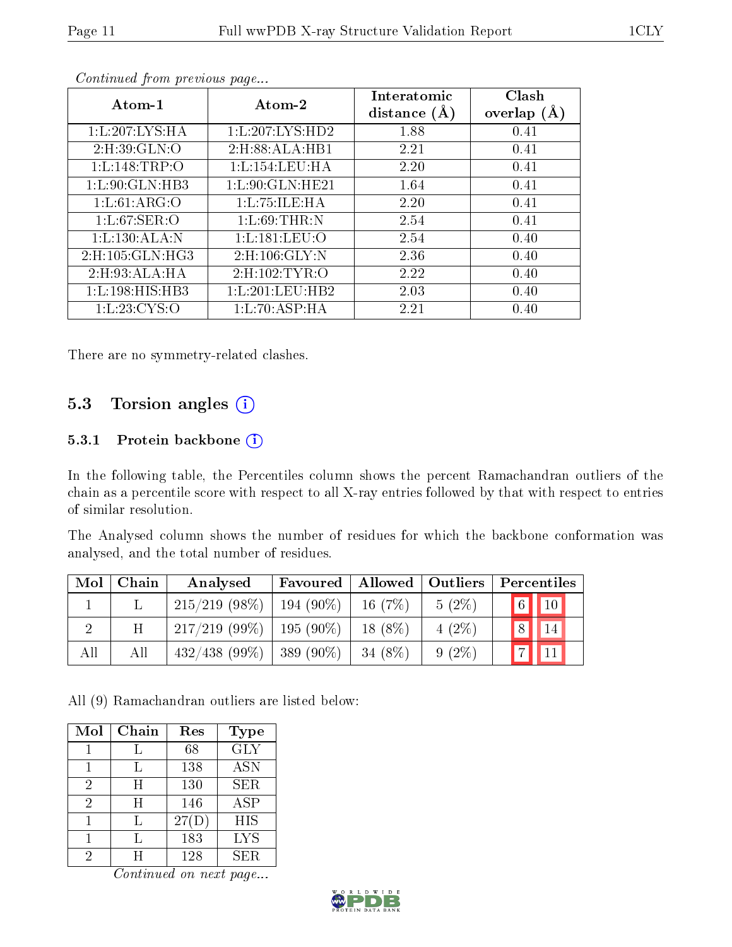| Atom-1                     | Atom-2                   | Interatomic<br>distance $(A)$ | Clash<br>overlap $(\AA)$ |
|----------------------------|--------------------------|-------------------------------|--------------------------|
| 1: L: 207: LYS: HA         | 1:L:207:LYS:HD2          | 1.88                          | 0.41                     |
| 2: H:39: GLN:O             | 2:H:88:ALA:HB1           | 2.21                          | 0.41                     |
| 1:Li:148:TRP:O             | 1: L: 154: LEU: HA       | 2.20                          | 0.41                     |
| 1: L:90: GLN: HB3          | 1: L:90: GLN: HE21       | 1.64                          | 0.41                     |
| 1: L:61:ARG:O              | 1: L: 75: ILE: HA        | 2.20                          | 0.41                     |
| 1: L:67:SER:O              | 1: L:69:THR:N            | 2.54                          | 0.41                     |
| 1:L:130:ALA:N              | 1:L:181:LEU:O            | 2.54                          | 0.40                     |
| $2:$ H $:105:$ GLN $:$ HG3 | $2:$ H $:106:$ GLY $:$ N | 2.36                          | 0.40                     |
| 2: H: 93: ALA: HA          | 2: H: 102: TYR: O        | 2.22                          | 0.40                     |
| 1:L:198:HIS:HB3            | 1: L:201:LEU:HB2         | 2.03                          | 0.40                     |
| 1: L: 23: CYS:O            | 1: L:70: ASP:HA          | 2.21                          | 0.40                     |

Continued from previous page...

There are no symmetry-related clashes.

### 5.3 Torsion angles (i)

#### 5.3.1 Protein backbone (i)

In the following table, the Percentiles column shows the percent Ramachandran outliers of the chain as a percentile score with respect to all X-ray entries followed by that with respect to entries of similar resolution.

The Analysed column shows the number of residues for which the backbone conformation was analysed, and the total number of residues.

| Mol | Chain | Analysed         | Favoured     | Allowed    | $\vert$ Outliers | Percentiles                                           |
|-----|-------|------------------|--------------|------------|------------------|-------------------------------------------------------|
|     |       | $215/219$ (98\%) | $194(90\%)$  | 16 $(7%)$  | $5(2\%)$         | $\begin{array}{ c c c }\n\hline\n6 & 10\n\end{array}$ |
|     | H     | $217/219(99\%)$  | 195 (90\%)   | $18(8\%)$  | $4(2\%)$         | $\overline{8}$<br>14                                  |
| All | All   | $432/438$ (99\%) | $ 389(90\%)$ | 34 $(8\%)$ | $9(2\%)$         |                                                       |

All (9) Ramachandran outliers are listed below:

| Mol            | Chain | Res   | <b>Type</b> |
|----------------|-------|-------|-------------|
|                |       | 68    | <b>GLY</b>  |
|                | L     | 138   | <b>ASN</b>  |
| $\overline{2}$ | Η     | 130   | <b>SER</b>  |
| 2              | H     | 146   | <b>ASP</b>  |
|                | Τ.    | 27(D) | <b>HIS</b>  |
|                |       | 183   | <b>LYS</b>  |
| 2              | H     | 128   | SER.        |

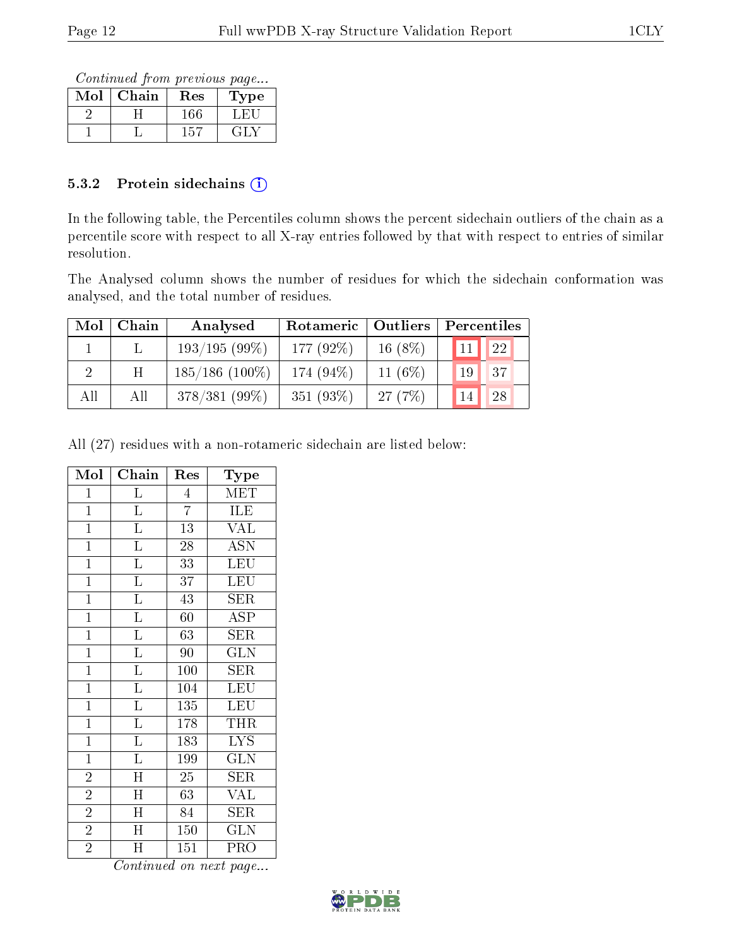Continued from previous page...

| Mol | Chain | $\operatorname{Res}% \left( \mathcal{N}\right) \equiv\operatorname{Res}(\mathcal{N}_{0})\left( \mathcal{N}_{0}\right) ^{2}$ | Type |
|-----|-------|-----------------------------------------------------------------------------------------------------------------------------|------|
|     |       |                                                                                                                             |      |
|     |       | h.                                                                                                                          |      |

#### 5.3.2 Protein sidechains  $(i)$

In the following table, the Percentiles column shows the percent sidechain outliers of the chain as a percentile score with respect to all X-ray entries followed by that with respect to entries of similar resolution.

The Analysed column shows the number of residues for which the sidechain conformation was analysed, and the total number of residues.

| Mol | Chain | Analysed          | Rotameric   Outliers |           | Percentiles |
|-----|-------|-------------------|----------------------|-----------|-------------|
|     |       | 193/195(99%)      | 177 (92%)            | $16(8\%)$ | 22<br>11    |
|     | H     | $185/186$ (100\%) | 174 (94%)            | 11 $(6%)$ | 37<br>19    |
| All | All   | $378/381(99\%)$   | 351 (93%)            | 27(7%)    | 28          |

All (27) residues with a non-rotameric sidechain are listed below:

| Mol            | Chain                   | Res            | Type                    |
|----------------|-------------------------|----------------|-------------------------|
| $\overline{1}$ | $\Gamma$                | $\overline{4}$ | MET                     |
| $\overline{1}$ | $\overline{\mathrm{L}}$ | $\overline{7}$ | ILE                     |
| $\mathbf{1}$   | $\Gamma$                | 13             | <b>VAL</b>              |
| $\overline{1}$ | $\overline{\mathrm{L}}$ | 28             | <b>ASN</b>              |
| $\mathbf{1}$   | $\overline{\mathrm{L}}$ | 33             | LEU                     |
| $\overline{1}$ | $\overline{\text{L}}$   | 37             | $\overline{\text{LEU}}$ |
| $\overline{1}$ | $\overline{\mathbf{L}}$ | 43             | SER                     |
| $\mathbf{1}$   | $\overline{\mathrm{L}}$ | 60             | ASP                     |
| $\overline{1}$ | $\overline{\mathrm{L}}$ | 63             | $\overline{\text{SER}}$ |
| $\overline{1}$ | $\overline{L}$          | 90             | $\overline{\text{GLN}}$ |
| $\mathbf{1}$   | $\Gamma$                | 100            | SER                     |
| $\overline{1}$ | $\overline{\mathbf{L}}$ | 104            | $\overline{\text{LEU}}$ |
| $\mathbf{1}$   | $\overline{\mathrm{L}}$ | 135            | <b>LEU</b>              |
| $\overline{1}$ | $\overline{\mathrm{L}}$ | 178            | THR                     |
| $\overline{1}$ | $\overline{\text{L}}$   | 183            | <b>LYS</b>              |
| $\mathbf{1}$   | $\overline{\mathrm{L}}$ | 199            | <b>GLN</b>              |
| $\overline{2}$ | $\overline{\rm H}$      | 25             | SER                     |
| $\overline{2}$ | $\overline{\text{H}}$   | 63             | <b>VAL</b>              |
| $\overline{2}$ | $\overline{\rm H}$      | 84             | <b>SER</b>              |
| $\overline{2}$ | $\overline{\text{H}}$   | 150            | <b>GLN</b>              |
| $\overline{2}$ | Η                       | 151            | PRO                     |

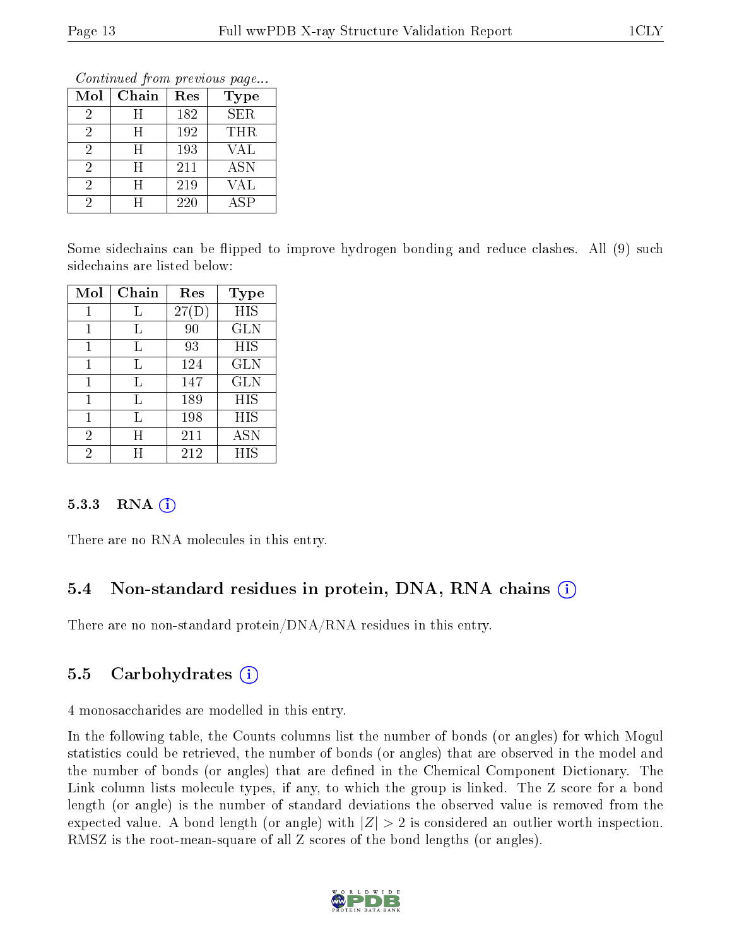Continued from previous page...

| Mol | Chain | Res | <b>Type</b> |
|-----|-------|-----|-------------|
| 2   | H     | 182 | <b>SER</b>  |
| 2   | H     | 192 | THR         |
| 2   | H     | 193 | VAL         |
| 2   | H     | 211 | <b>ASN</b>  |
| 2   | H     | 219 | VAL         |
|     | H     | 220 | ΑSΡ         |

Some sidechains can be flipped to improve hydrogen bonding and reduce clashes. All (9) such sidechains are listed below:

| Mol | Chain | Res   | <b>Type</b> |
|-----|-------|-------|-------------|
|     |       | 27(D) | <b>HIS</b>  |
| 1   | L     | 90    | <b>GLN</b>  |
| 1   | L     | 93    | HIS         |
|     |       | 124   | GLN         |
| 1   | Τ,    | 147   | GLN         |
| 1   | Τ,    | 189   | HIS         |
| 1   | Τ,    | 198   | HIS         |
| 2   | H     | 211   | ASN         |
| 2   | H     | 212   | HIS         |

#### 5.3.3 RNA  $(i)$

There are no RNA molecules in this entry.

### 5.4 Non-standard residues in protein, DNA, RNA chains (i)

There are no non-standard protein/DNA/RNA residues in this entry.

### 5.5 Carbohydrates (i)

4 monosaccharides are modelled in this entry.

In the following table, the Counts columns list the number of bonds (or angles) for which Mogul statistics could be retrieved, the number of bonds (or angles) that are observed in the model and the number of bonds (or angles) that are dened in the Chemical Component Dictionary. The Link column lists molecule types, if any, to which the group is linked. The Z score for a bond length (or angle) is the number of standard deviations the observed value is removed from the expected value. A bond length (or angle) with  $|Z| > 2$  is considered an outlier worth inspection. RMSZ is the root-mean-square of all Z scores of the bond lengths (or angles).

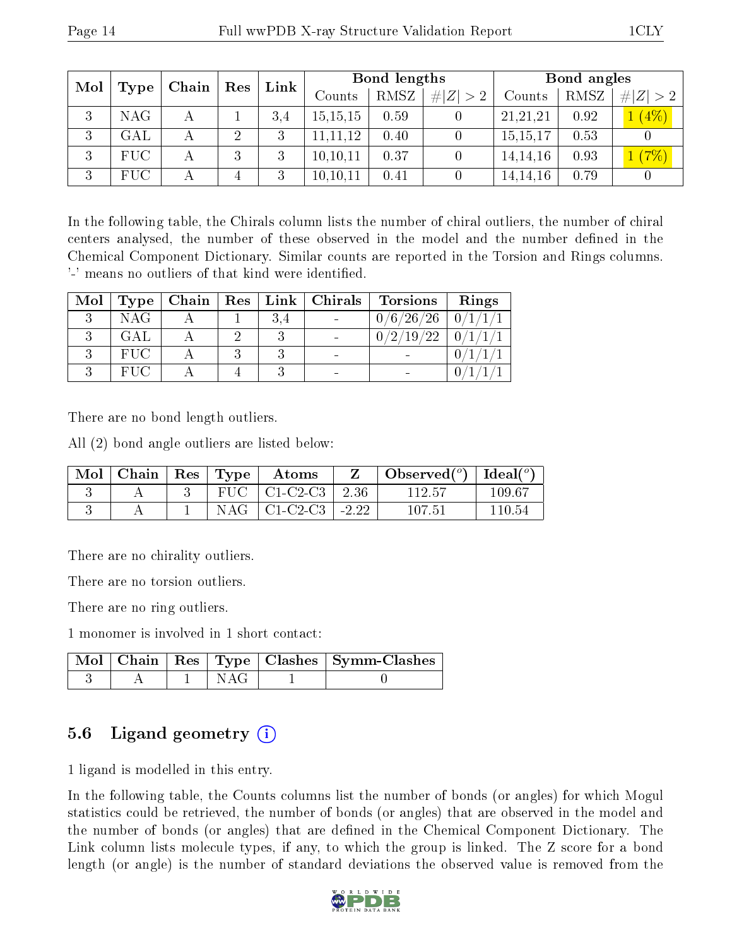| Mol |                      | $\operatorname{Res}$<br>$Chain$ |                | Link | Bond lengths |      |             | Bond angles |      |                      |
|-----|----------------------|---------------------------------|----------------|------|--------------|------|-------------|-------------|------|----------------------|
|     | $\perp$ Type $\perp$ |                                 |                |      | Counts       | RMSZ | # $ Z  > 2$ | Counts      | RMSZ | # $ Z  > 2$          |
| 3   | <b>NAG</b>           |                                 |                | 3.4  | 15, 15, 15   | 0.59 |             | 21,21,21    | 0.92 | (4%)<br>$\mathbf{1}$ |
| 3   | GAL                  |                                 | $\overline{2}$ | 3    | 11, 11, 12   | 0.40 |             | 15,15,17    | 0.53 |                      |
| 3   | <b>FUC</b>           |                                 | 3              | 3    | 10, 10, 11   | 0.37 |             | 14, 14, 16  | 0.93 | (7%)                 |
| 3   | <b>FUC</b>           |                                 | 4              | 3    | 10, 10, 11   | 0.41 |             | 14, 14, 16  | 0.79 |                      |

In the following table, the Chirals column lists the number of chiral outliers, the number of chiral centers analysed, the number of these observed in the model and the number defined in the Chemical Component Dictionary. Similar counts are reported in the Torsion and Rings columns. '-' means no outliers of that kind were identified.

| Mol | Type       | Chain | Res <sub>1</sub> | Link | Chirals                  | <b>Torsions</b> | Rings          |
|-----|------------|-------|------------------|------|--------------------------|-----------------|----------------|
|     | <b>NAG</b> |       |                  | 3.4  | $\overline{\phantom{0}}$ | 0/6/26/26       | $\overline{0}$ |
|     | GAL.       |       |                  |      |                          | 19<br>ററ        | $\Omega$       |
|     | <b>FUC</b> |       |                  |      | $\overline{\phantom{0}}$ |                 |                |
|     | <b>FHC</b> |       |                  |      | $\overline{\phantom{0}}$ |                 |                |

There are no bond length outliers.

All (2) bond angle outliers are listed below:

| Mol | Chain | $\vert$ Res $\vert$ | $^{\prime}$ Type | Atoms              |         | Observed $(°)$ | $\mathbf{I} + \overline{\mathbf{Ideal}}({}^o)$ |
|-----|-------|---------------------|------------------|--------------------|---------|----------------|------------------------------------------------|
|     |       |                     |                  | $FUC$   $C1-C2-C3$ | 2.36    | 112.57         | -109.67                                        |
|     |       |                     | NAG              | $\perp$ C1-C2-C3   | $-2.22$ | 107.51         | 110 54                                         |

There are no chirality outliers.

There are no torsion outliers.

There are no ring outliers.

1 monomer is involved in 1 short contact:

|  |  | Mol   Chain   Res   Type   Clashes   Symm-Clashes |
|--|--|---------------------------------------------------|
|  |  |                                                   |

### 5.6 Ligand geometry  $(i)$

1 ligand is modelled in this entry.

In the following table, the Counts columns list the number of bonds (or angles) for which Mogul statistics could be retrieved, the number of bonds (or angles) that are observed in the model and the number of bonds (or angles) that are defined in the Chemical Component Dictionary. The Link column lists molecule types, if any, to which the group is linked. The Z score for a bond length (or angle) is the number of standard deviations the observed value is removed from the

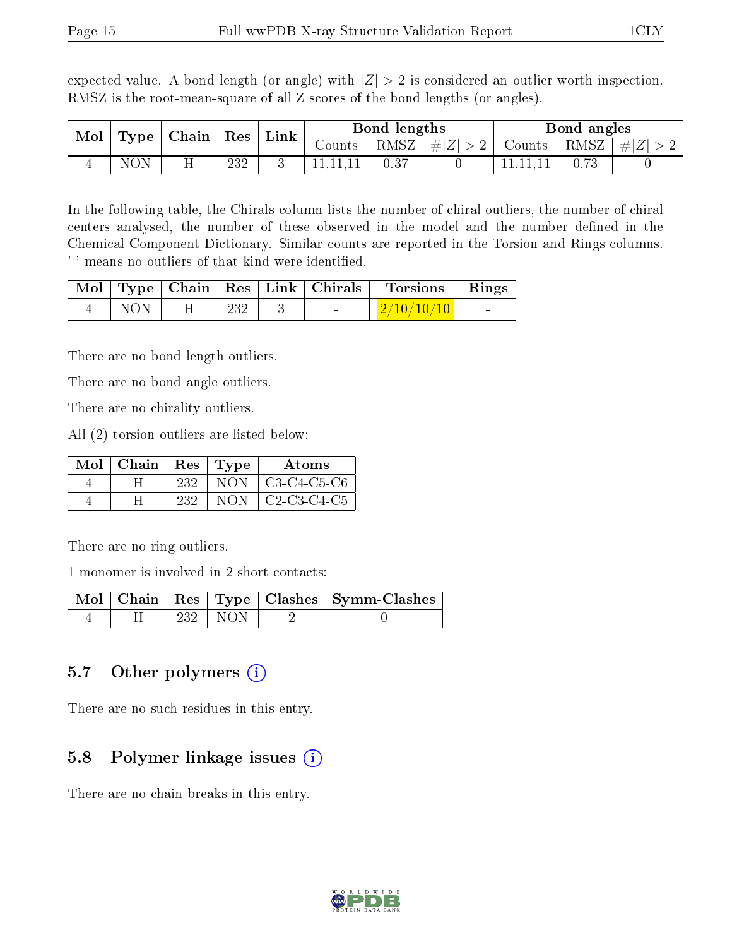expected value. A bond length (or angle) with  $|Z| > 2$  is considered an outlier worth inspection. RMSZ is the root-mean-square of all Z scores of the bond lengths (or angles).

| Mol<br>Type |     | $\mid$ Chain $\mid$ |     |  | $\operatorname{Res}$ | Link |         | Bond lengths |        | Bond angles |  |  |
|-------------|-----|---------------------|-----|--|----------------------|------|---------|--------------|--------|-------------|--|--|
|             |     |                     |     |  | Counts-              | RMSZ | $\# Z $ | Counts       | ⊤RMSZ∣ | Z <br>$\pm$ |  |  |
| ⊶           | NON |                     | 232 |  |                      | 0.37 |         |              |        |             |  |  |

In the following table, the Chirals column lists the number of chiral outliers, the number of chiral centers analysed, the number of these observed in the model and the number defined in the Chemical Component Dictionary. Similar counts are reported in the Torsion and Rings columns. '-' means no outliers of that kind were identified.

|                       |                 | Mol   Type   Chain   Res   Link   Chirals | Torsions Rings              |  |
|-----------------------|-----------------|-------------------------------------------|-----------------------------|--|
| $\sim$ 1 NON 1 $\sim$ | $\frac{1}{232}$ | <b>Contract Contract</b>                  | $\mid \mid 2/10/10/10 \mid$ |  |

There are no bond length outliers.

There are no bond angle outliers.

There are no chirality outliers.

All (2) torsion outliers are listed below:

| $Mol \mid Chain$ | $\mid$ Res | Type | Atoms         |
|------------------|------------|------|---------------|
|                  | 232        | NON. | $C3-C4-C5-C6$ |
|                  | 232        | NON  | $C2-C3-C4-C5$ |

There are no ring outliers.

1 monomer is involved in 2 short contacts:

|  |     |       | Mol   Chain   Res   Type   Clashes   Symm-Clashes |
|--|-----|-------|---------------------------------------------------|
|  | 232 | I NON |                                                   |

### 5.7 [O](https://www.wwpdb.org/validation/2017/XrayValidationReportHelp#nonstandard_residues_and_ligands)ther polymers  $(i)$

There are no such residues in this entry.

### 5.8 Polymer linkage issues  $(i)$

There are no chain breaks in this entry.

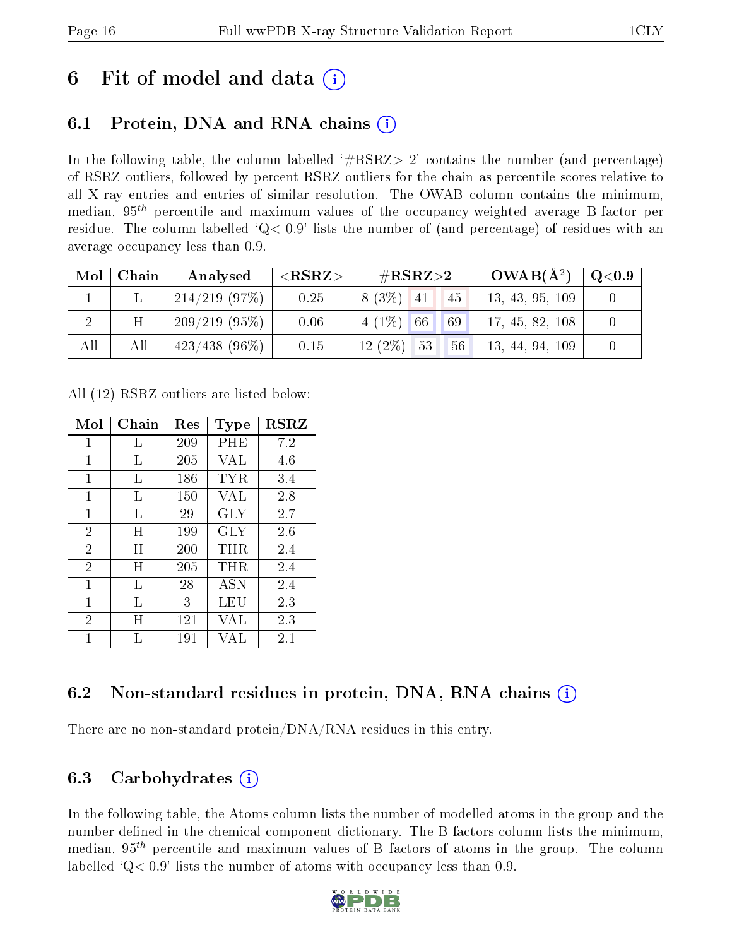## 6 Fit of model and data  $\left( \cdot \right)$

## 6.1 Protein, DNA and RNA chains (i)

In the following table, the column labelled  $#RSRZ>2'$  contains the number (and percentage) of RSRZ outliers, followed by percent RSRZ outliers for the chain as percentile scores relative to all X-ray entries and entries of similar resolution. The OWAB column contains the minimum, median,  $95<sup>th</sup>$  percentile and maximum values of the occupancy-weighted average B-factor per residue. The column labelled  $Q< 0.9$  lists the number of (and percentage) of residues with an average occupancy less than 0.9.

| Mol | Chain | Analysed         | ${ <\hspace{-1.5pt}{\mathrm{RSRZ}} \hspace{-1.5pt}>}$ | $\#\text{RSRZ}\text{>2}$ |    |                 | $OWAB(A^2)$     | $\rm Q\textcolor{black}{<}0.9$ |
|-----|-------|------------------|-------------------------------------------------------|--------------------------|----|-----------------|-----------------|--------------------------------|
|     |       | $214/219$ (97\%) | 0.25                                                  | $8(3\%)$ 41              |    | 45              | 13, 43, 95, 109 |                                |
|     |       | 209/219(95%)     | 0.06                                                  | $4(1\%)$ 66              |    | 69 <sup>°</sup> | 17, 45, 82, 108 |                                |
| All | All   | $423/438$ (96\%) | 0.15                                                  | $12(2\%)$                | 53 | 56              | 13, 44, 94, 109 |                                |

All (12) RSRZ outliers are listed below:

| Mol            | Chain | $\operatorname{Res}% \left( \mathcal{N}\right) \equiv\operatorname{Res}(\mathcal{N}_{0},\mathcal{N}_{0})$ | Type         | <b>RSRZ</b> |
|----------------|-------|-----------------------------------------------------------------------------------------------------------|--------------|-------------|
| 1              | L     | 209                                                                                                       | PHE          | 7.2         |
| 1              | L     | 205                                                                                                       | VAL          | 4.6         |
| 1              | L     | 186                                                                                                       | $_{\rm TYR}$ | 3.4         |
| 1              | L     | 150                                                                                                       | <b>VAL</b>   | 2.8         |
| $\mathbf{1}$   | L     | 29                                                                                                        | GLY          | 2.7         |
| $\overline{2}$ | Η     | 199                                                                                                       | <b>GLY</b>   | 2.6         |
| $\overline{2}$ | H     | 200                                                                                                       | $\rm THR$    | 2.4         |
| $\overline{2}$ | Η     | 205                                                                                                       | $\rm THR$    | 2.4         |
| $\mathbf{1}$   | L     | 28                                                                                                        | <b>ASN</b>   | 2.4         |
| 1              | Τ,    | 3                                                                                                         | LEU          | 2.3         |
| $\overline{2}$ | Η     | 121                                                                                                       | VAL          | 2.3         |
| 1              |       | 191                                                                                                       | VAL          | 2.1         |

### 6.2 Non-standard residues in protein, DNA, RNA chains  $(i)$

There are no non-standard protein/DNA/RNA residues in this entry.

### 6.3 Carbohydrates (i)

In the following table, the Atoms column lists the number of modelled atoms in the group and the number defined in the chemical component dictionary. The B-factors column lists the minimum, median,  $95<sup>th</sup>$  percentile and maximum values of B factors of atoms in the group. The column labelled  $Q< 0.9$ ' lists the number of atoms with occupancy less than 0.9.